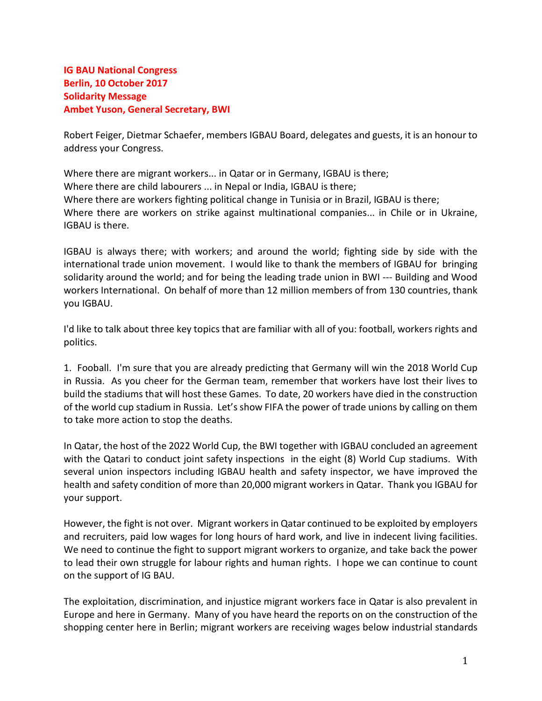## IG BAU National Congress Berlin, 10 October 2017 Solidarity Message Ambet Yuson, General Secretary, BWI

Robert Feiger, Dietmar Schaefer, members IGBAU Board, delegates and guests, it is an honour to address your Congress.

Where there are migrant workers... in Qatar or in Germany, IGBAU is there; Where there are child labourers ... in Nepal or India, IGBAU is there; Where there are workers fighting political change in Tunisia or in Brazil, IGBAU is there; Where there are workers on strike against multinational companies... in Chile or in Ukraine, IGBAU is there.

IGBAU is always there; with workers; and around the world; fighting side by side with the international trade union movement. I would like to thank the members of IGBAU for bringing solidarity around the world; and for being the leading trade union in BWI --- Building and Wood workers International. On behalf of more than 12 million members of from 130 countries, thank you IGBAU.

I'd like to talk about three key topics that are familiar with all of you: football, workers rights and politics.

1. Fooball. I'm sure that you are already predicting that Germany will win the 2018 World Cup in Russia. As you cheer for the German team, remember that workers have lost their lives to build the stadiums that will host these Games. To date, 20 workers have died in the construction of the world cup stadium in Russia. Let's show FIFA the power of trade unions by calling on them to take more action to stop the deaths.

In Qatar, the host of the 2022 World Cup, the BWI together with IGBAU concluded an agreement with the Qatari to conduct joint safety inspections in the eight (8) World Cup stadiums. With several union inspectors including IGBAU health and safety inspector, we have improved the health and safety condition of more than 20,000 migrant workers in Qatar. Thank you IGBAU for your support.

However, the fight is not over. Migrant workers in Qatar continued to be exploited by employers and recruiters, paid low wages for long hours of hard work, and live in indecent living facilities. We need to continue the fight to support migrant workers to organize, and take back the power to lead their own struggle for labour rights and human rights. I hope we can continue to count on the support of IG BAU.

The exploitation, discrimination, and injustice migrant workers face in Qatar is also prevalent in Europe and here in Germany. Many of you have heard the reports on on the construction of the shopping center here in Berlin; migrant workers are receiving wages below industrial standards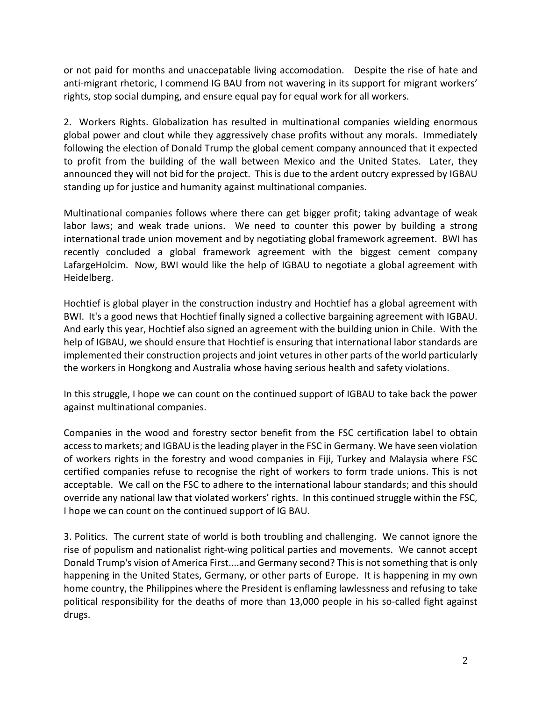or not paid for months and unaccepatable living accomodation. Despite the rise of hate and anti-migrant rhetoric, I commend IG BAU from not wavering in its support for migrant workers' rights, stop social dumping, and ensure equal pay for equal work for all workers.

2. Workers Rights. Globalization has resulted in multinational companies wielding enormous global power and clout while they aggressively chase profits without any morals. Immediately following the election of Donald Trump the global cement company announced that it expected to profit from the building of the wall between Mexico and the United States. Later, they announced they will not bid for the project. This is due to the ardent outcry expressed by IGBAU standing up for justice and humanity against multinational companies.

Multinational companies follows where there can get bigger profit; taking advantage of weak labor laws; and weak trade unions. We need to counter this power by building a strong international trade union movement and by negotiating global framework agreement. BWI has recently concluded a global framework agreement with the biggest cement company LafargeHolcim. Now, BWI would like the help of IGBAU to negotiate a global agreement with Heidelberg.

Hochtief is global player in the construction industry and Hochtief has a global agreement with BWI. It's a good news that Hochtief finally signed a collective bargaining agreement with IGBAU. And early this year, Hochtief also signed an agreement with the building union in Chile. With the help of IGBAU, we should ensure that Hochtief is ensuring that international labor standards are implemented their construction projects and joint vetures in other parts of the world particularly the workers in Hongkong and Australia whose having serious health and safety violations.

In this struggle, I hope we can count on the continued support of IGBAU to take back the power against multinational companies.

Companies in the wood and forestry sector benefit from the FSC certification label to obtain access to markets; and IGBAU is the leading player in the FSC in Germany. We have seen violation of workers rights in the forestry and wood companies in Fiji, Turkey and Malaysia where FSC certified companies refuse to recognise the right of workers to form trade unions. This is not acceptable. We call on the FSC to adhere to the international labour standards; and this should override any national law that violated workers' rights. In this continued struggle within the FSC, I hope we can count on the continued support of IG BAU.

3. Politics. The current state of world is both troubling and challenging. We cannot ignore the rise of populism and nationalist right-wing political parties and movements. We cannot accept Donald Trump's vision of America First....and Germany second? This is not something that is only happening in the United States, Germany, or other parts of Europe. It is happening in my own home country, the Philippines where the President is enflaming lawlessness and refusing to take political responsibility for the deaths of more than 13,000 people in his so-called fight against drugs.